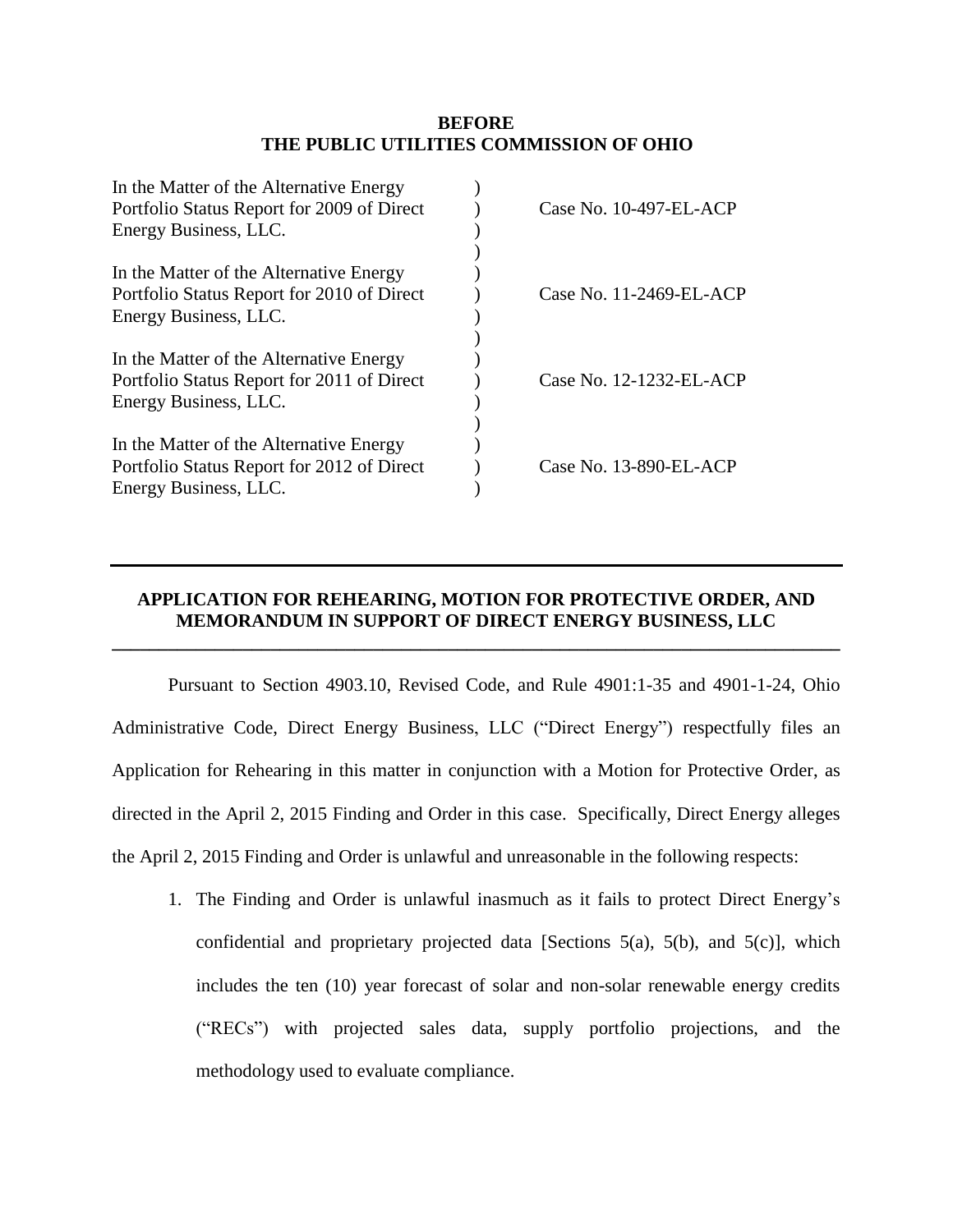#### **BEFORE THE PUBLIC UTILITIES COMMISSION OF OHIO**

| In the Matter of the Alternative Energy    |                         |
|--------------------------------------------|-------------------------|
| Portfolio Status Report for 2009 of Direct | Case No. 10-497-EL-ACP  |
| Energy Business, LLC.                      |                         |
|                                            |                         |
| In the Matter of the Alternative Energy    |                         |
| Portfolio Status Report for 2010 of Direct | Case No. 11-2469-EL-ACP |
| Energy Business, LLC.                      |                         |
|                                            |                         |
| In the Matter of the Alternative Energy    |                         |
| Portfolio Status Report for 2011 of Direct | Case No. 12-1232-EL-ACP |
| Energy Business, LLC.                      |                         |
|                                            |                         |
| In the Matter of the Alternative Energy    |                         |
| Portfolio Status Report for 2012 of Direct | Case No. 13-890-EL-ACP  |
| Energy Business, LLC.                      |                         |
|                                            |                         |

# **APPLICATION FOR REHEARING, MOTION FOR PROTECTIVE ORDER, AND MEMORANDUM IN SUPPORT OF DIRECT ENERGY BUSINESS, LLC**

**\_\_\_\_\_\_\_\_\_\_\_\_\_\_\_\_\_\_\_\_\_\_\_\_\_\_\_\_\_\_\_\_\_\_\_\_\_\_\_\_\_\_\_\_\_\_\_\_\_\_\_\_\_\_\_\_\_\_\_\_\_\_\_\_\_\_\_\_\_\_\_\_\_\_\_\_\_\_**

Pursuant to Section 4903.10, Revised Code, and Rule 4901:1-35 and 4901-1-24, Ohio Administrative Code, Direct Energy Business, LLC ("Direct Energy") respectfully files an Application for Rehearing in this matter in conjunction with a Motion for Protective Order, as directed in the April 2, 2015 Finding and Order in this case. Specifically, Direct Energy alleges the April 2, 2015 Finding and Order is unlawful and unreasonable in the following respects:

1. The Finding and Order is unlawful inasmuch as it fails to protect Direct Energy's confidential and proprietary projected data [Sections  $5(a)$ ,  $5(b)$ , and  $5(c)$ ], which includes the ten (10) year forecast of solar and non-solar renewable energy credits ("RECs") with projected sales data, supply portfolio projections, and the methodology used to evaluate compliance.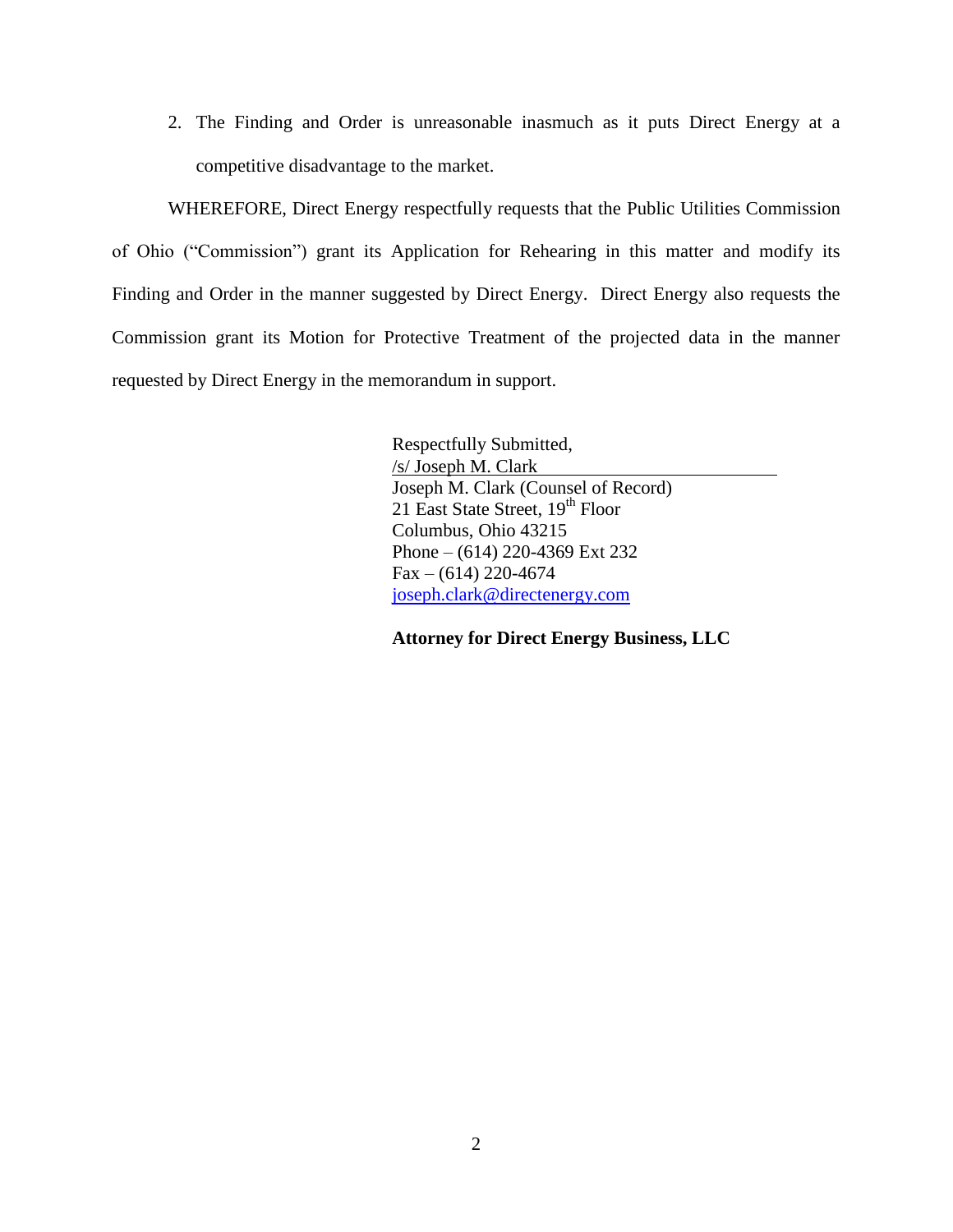2. The Finding and Order is unreasonable inasmuch as it puts Direct Energy at a competitive disadvantage to the market.

WHEREFORE, Direct Energy respectfully requests that the Public Utilities Commission of Ohio ("Commission") grant its Application for Rehearing in this matter and modify its Finding and Order in the manner suggested by Direct Energy. Direct Energy also requests the Commission grant its Motion for Protective Treatment of the projected data in the manner requested by Direct Energy in the memorandum in support.

> Respectfully Submitted, /s/ Joseph M. Clark Joseph M. Clark (Counsel of Record) 21 East State Street, 19th Floor Columbus, Ohio 43215 Phone – (614) 220-4369 Ext 232  $Fax - (614) 220 - 4674$ [joseph.clark@directenergy.com](mailto:joseph.clark@directenergy.com)

> **Attorney for Direct Energy Business, LLC**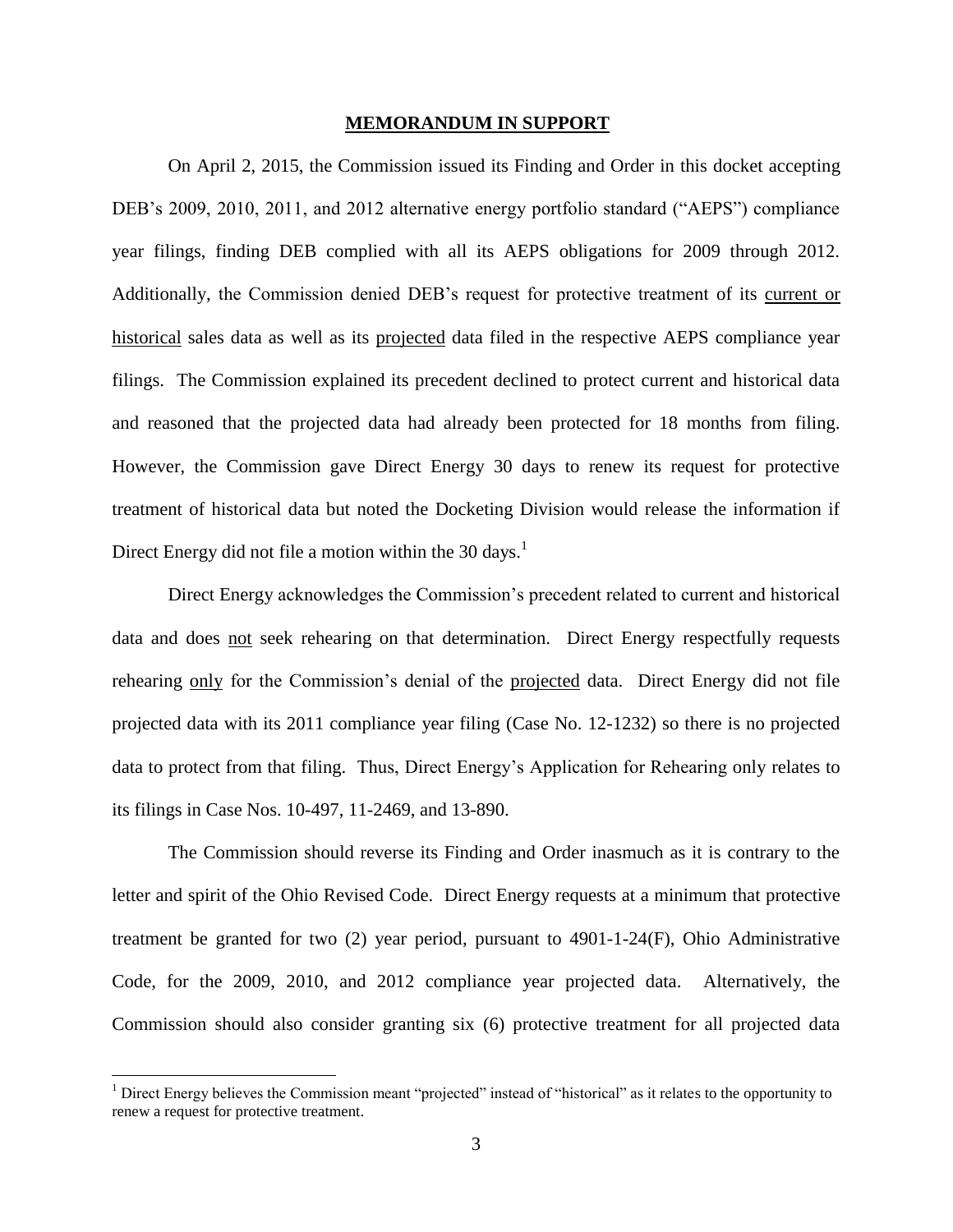#### **MEMORANDUM IN SUPPORT**

On April 2, 2015, the Commission issued its Finding and Order in this docket accepting DEB's 2009, 2010, 2011, and 2012 alternative energy portfolio standard ("AEPS") compliance year filings, finding DEB complied with all its AEPS obligations for 2009 through 2012. Additionally, the Commission denied DEB's request for protective treatment of its current or historical sales data as well as its projected data filed in the respective AEPS compliance year filings. The Commission explained its precedent declined to protect current and historical data and reasoned that the projected data had already been protected for 18 months from filing. However, the Commission gave Direct Energy 30 days to renew its request for protective treatment of historical data but noted the Docketing Division would release the information if Direct Energy did not file a motion within the 30 days.<sup>1</sup>

Direct Energy acknowledges the Commission's precedent related to current and historical data and does not seek rehearing on that determination. Direct Energy respectfully requests rehearing only for the Commission's denial of the projected data. Direct Energy did not file projected data with its 2011 compliance year filing (Case No. 12-1232) so there is no projected data to protect from that filing. Thus, Direct Energy's Application for Rehearing only relates to its filings in Case Nos. 10-497, 11-2469, and 13-890.

The Commission should reverse its Finding and Order inasmuch as it is contrary to the letter and spirit of the Ohio Revised Code. Direct Energy requests at a minimum that protective treatment be granted for two (2) year period, pursuant to 4901-1-24(F), Ohio Administrative Code, for the 2009, 2010, and 2012 compliance year projected data. Alternatively, the Commission should also consider granting six (6) protective treatment for all projected data

 $\overline{\phantom{a}}$ 

 $<sup>1</sup>$  Direct Energy believes the Commission meant "projected" instead of "historical" as it relates to the opportunity to</sup> renew a request for protective treatment.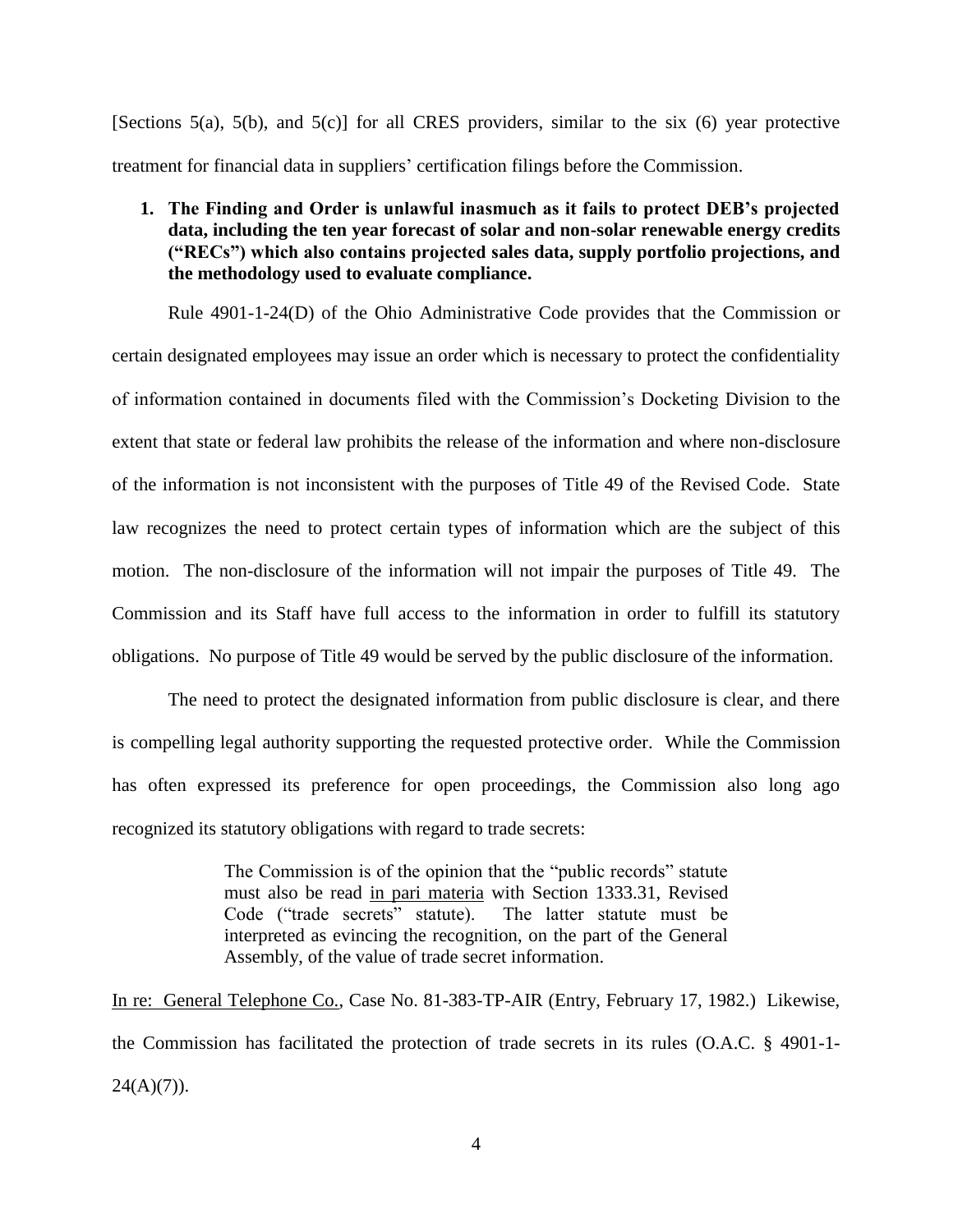[Sections 5(a), 5(b), and 5(c)] for all CRES providers, similar to the six (6) year protective treatment for financial data in suppliers' certification filings before the Commission.

# **1. The Finding and Order is unlawful inasmuch as it fails to protect DEB's projected data, including the ten year forecast of solar and non-solar renewable energy credits ("RECs") which also contains projected sales data, supply portfolio projections, and the methodology used to evaluate compliance.**

Rule 4901-1-24(D) of the Ohio Administrative Code provides that the Commission or certain designated employees may issue an order which is necessary to protect the confidentiality of information contained in documents filed with the Commission's Docketing Division to the extent that state or federal law prohibits the release of the information and where non-disclosure of the information is not inconsistent with the purposes of Title 49 of the Revised Code. State law recognizes the need to protect certain types of information which are the subject of this motion. The non-disclosure of the information will not impair the purposes of Title 49. The Commission and its Staff have full access to the information in order to fulfill its statutory obligations. No purpose of Title 49 would be served by the public disclosure of the information.

The need to protect the designated information from public disclosure is clear, and there is compelling legal authority supporting the requested protective order. While the Commission has often expressed its preference for open proceedings, the Commission also long ago recognized its statutory obligations with regard to trade secrets:

> The Commission is of the opinion that the "public records" statute must also be read in pari materia with Section 1333.31, Revised Code ("trade secrets" statute). The latter statute must be interpreted as evincing the recognition, on the part of the General Assembly, of the value of trade secret information.

In re: General Telephone Co., Case No. 81-383-TP-AIR (Entry, February 17, 1982.) Likewise, the Commission has facilitated the protection of trade secrets in its rules (O.A.C. § 4901-1-  $24(A)(7)$ ).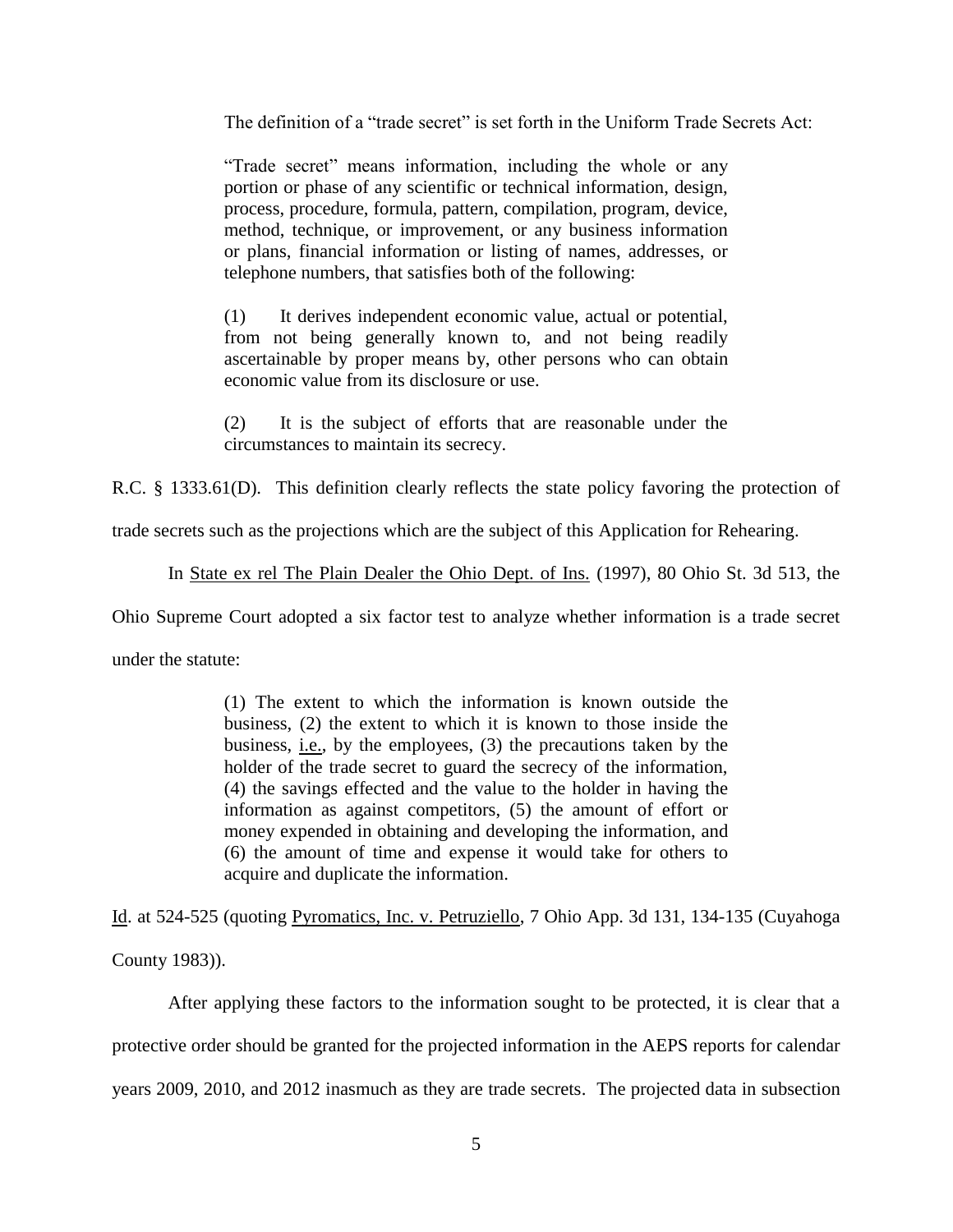The definition of a "trade secret" is set forth in the Uniform Trade Secrets Act:

"Trade secret" means information, including the whole or any portion or phase of any scientific or technical information, design, process, procedure, formula, pattern, compilation, program, device, method, technique, or improvement, or any business information or plans, financial information or listing of names, addresses, or telephone numbers, that satisfies both of the following:

(1) It derives independent economic value, actual or potential, from not being generally known to, and not being readily ascertainable by proper means by, other persons who can obtain economic value from its disclosure or use.

(2) It is the subject of efforts that are reasonable under the circumstances to maintain its secrecy.

R.C. § 1333.61(D). This definition clearly reflects the state policy favoring the protection of

trade secrets such as the projections which are the subject of this Application for Rehearing.

In State ex rel The Plain Dealer the Ohio Dept. of Ins. (1997), 80 Ohio St. 3d 513, the

Ohio Supreme Court adopted a six factor test to analyze whether information is a trade secret

under the statute:

(1) The extent to which the information is known outside the business, (2) the extent to which it is known to those inside the business, i.e., by the employees, (3) the precautions taken by the holder of the trade secret to guard the secrecy of the information, (4) the savings effected and the value to the holder in having the information as against competitors, (5) the amount of effort or money expended in obtaining and developing the information, and (6) the amount of time and expense it would take for others to acquire and duplicate the information.

Id. at 524-525 (quoting Pyromatics, Inc. v. Petruziello, 7 Ohio App. 3d 131, 134-135 (Cuyahoga County 1983)).

After applying these factors to the information sought to be protected, it is clear that a protective order should be granted for the projected information in the AEPS reports for calendar years 2009, 2010, and 2012 inasmuch as they are trade secrets. The projected data in subsection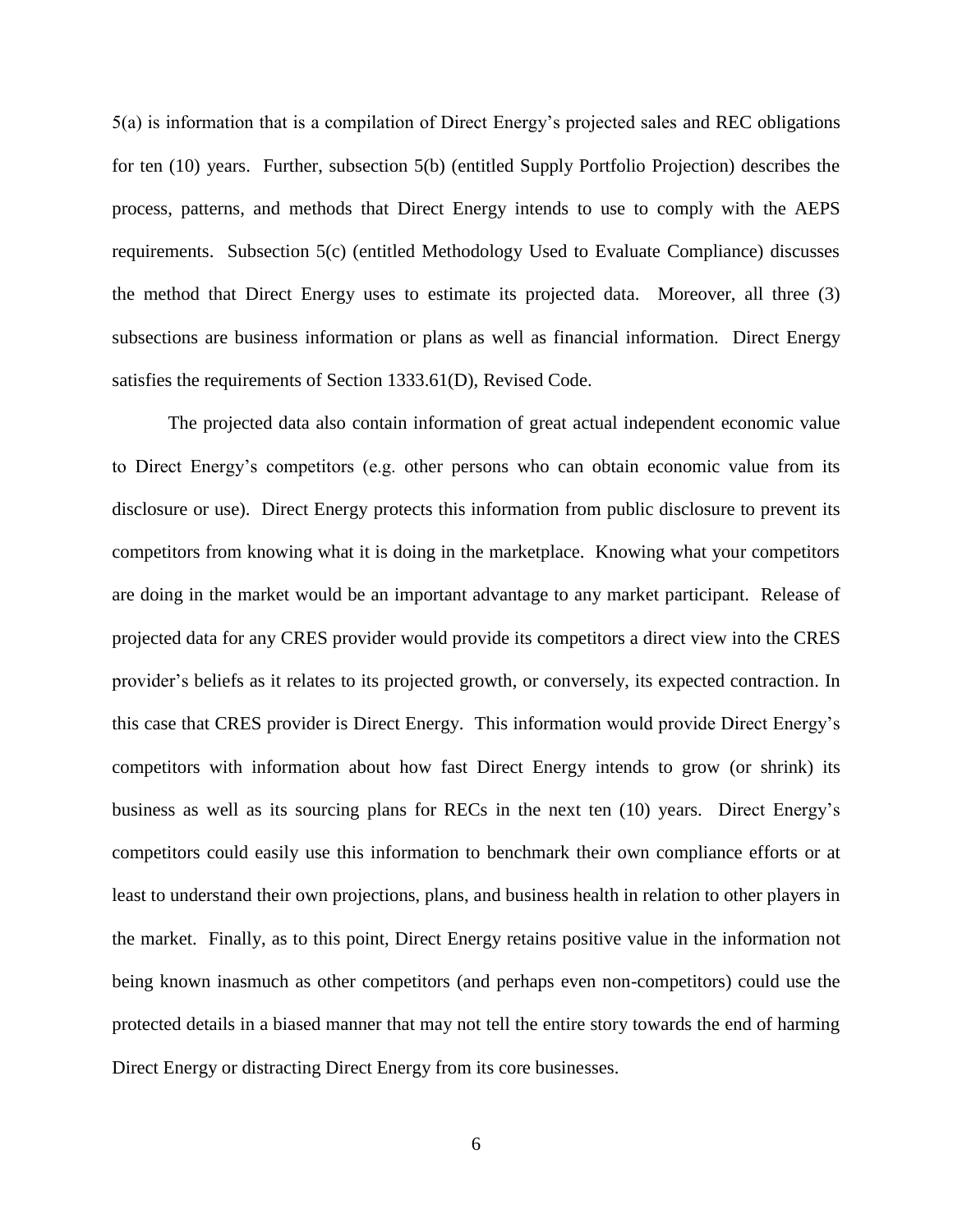5(a) is information that is a compilation of Direct Energy's projected sales and REC obligations for ten (10) years. Further, subsection 5(b) (entitled Supply Portfolio Projection) describes the process, patterns, and methods that Direct Energy intends to use to comply with the AEPS requirements. Subsection 5(c) (entitled Methodology Used to Evaluate Compliance) discusses the method that Direct Energy uses to estimate its projected data. Moreover, all three (3) subsections are business information or plans as well as financial information. Direct Energy satisfies the requirements of Section 1333.61(D), Revised Code.

The projected data also contain information of great actual independent economic value to Direct Energy's competitors (e.g. other persons who can obtain economic value from its disclosure or use). Direct Energy protects this information from public disclosure to prevent its competitors from knowing what it is doing in the marketplace. Knowing what your competitors are doing in the market would be an important advantage to any market participant. Release of projected data for any CRES provider would provide its competitors a direct view into the CRES provider's beliefs as it relates to its projected growth, or conversely, its expected contraction. In this case that CRES provider is Direct Energy. This information would provide Direct Energy's competitors with information about how fast Direct Energy intends to grow (or shrink) its business as well as its sourcing plans for RECs in the next ten (10) years. Direct Energy's competitors could easily use this information to benchmark their own compliance efforts or at least to understand their own projections, plans, and business health in relation to other players in the market. Finally, as to this point, Direct Energy retains positive value in the information not being known inasmuch as other competitors (and perhaps even non-competitors) could use the protected details in a biased manner that may not tell the entire story towards the end of harming Direct Energy or distracting Direct Energy from its core businesses.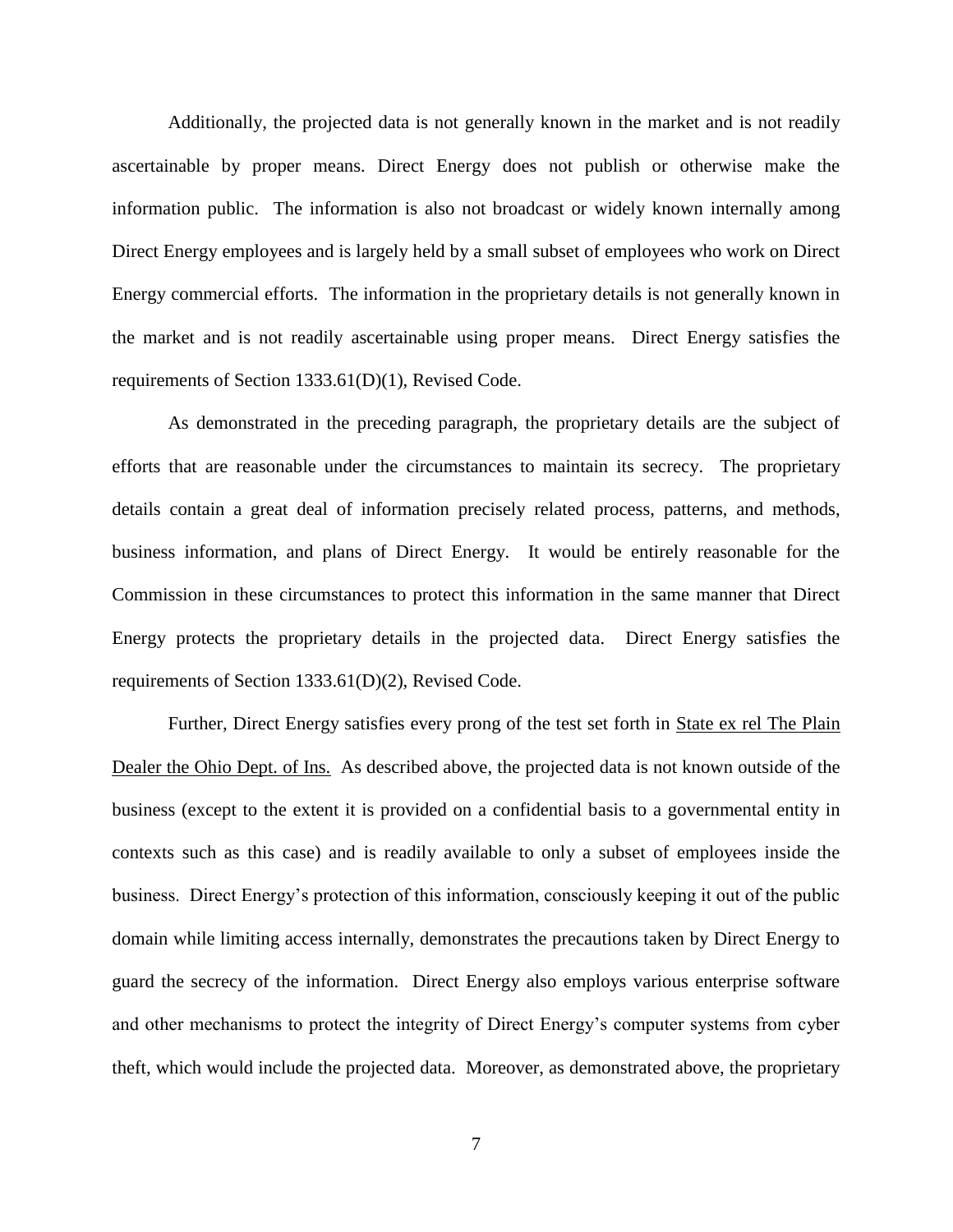Additionally, the projected data is not generally known in the market and is not readily ascertainable by proper means. Direct Energy does not publish or otherwise make the information public. The information is also not broadcast or widely known internally among Direct Energy employees and is largely held by a small subset of employees who work on Direct Energy commercial efforts. The information in the proprietary details is not generally known in the market and is not readily ascertainable using proper means. Direct Energy satisfies the requirements of Section 1333.61(D)(1), Revised Code.

As demonstrated in the preceding paragraph, the proprietary details are the subject of efforts that are reasonable under the circumstances to maintain its secrecy. The proprietary details contain a great deal of information precisely related process, patterns, and methods, business information, and plans of Direct Energy. It would be entirely reasonable for the Commission in these circumstances to protect this information in the same manner that Direct Energy protects the proprietary details in the projected data. Direct Energy satisfies the requirements of Section 1333.61(D)(2), Revised Code.

Further, Direct Energy satisfies every prong of the test set forth in State ex rel The Plain Dealer the Ohio Dept. of Ins. As described above, the projected data is not known outside of the business (except to the extent it is provided on a confidential basis to a governmental entity in contexts such as this case) and is readily available to only a subset of employees inside the business. Direct Energy's protection of this information, consciously keeping it out of the public domain while limiting access internally, demonstrates the precautions taken by Direct Energy to guard the secrecy of the information. Direct Energy also employs various enterprise software and other mechanisms to protect the integrity of Direct Energy's computer systems from cyber theft, which would include the projected data. Moreover, as demonstrated above, the proprietary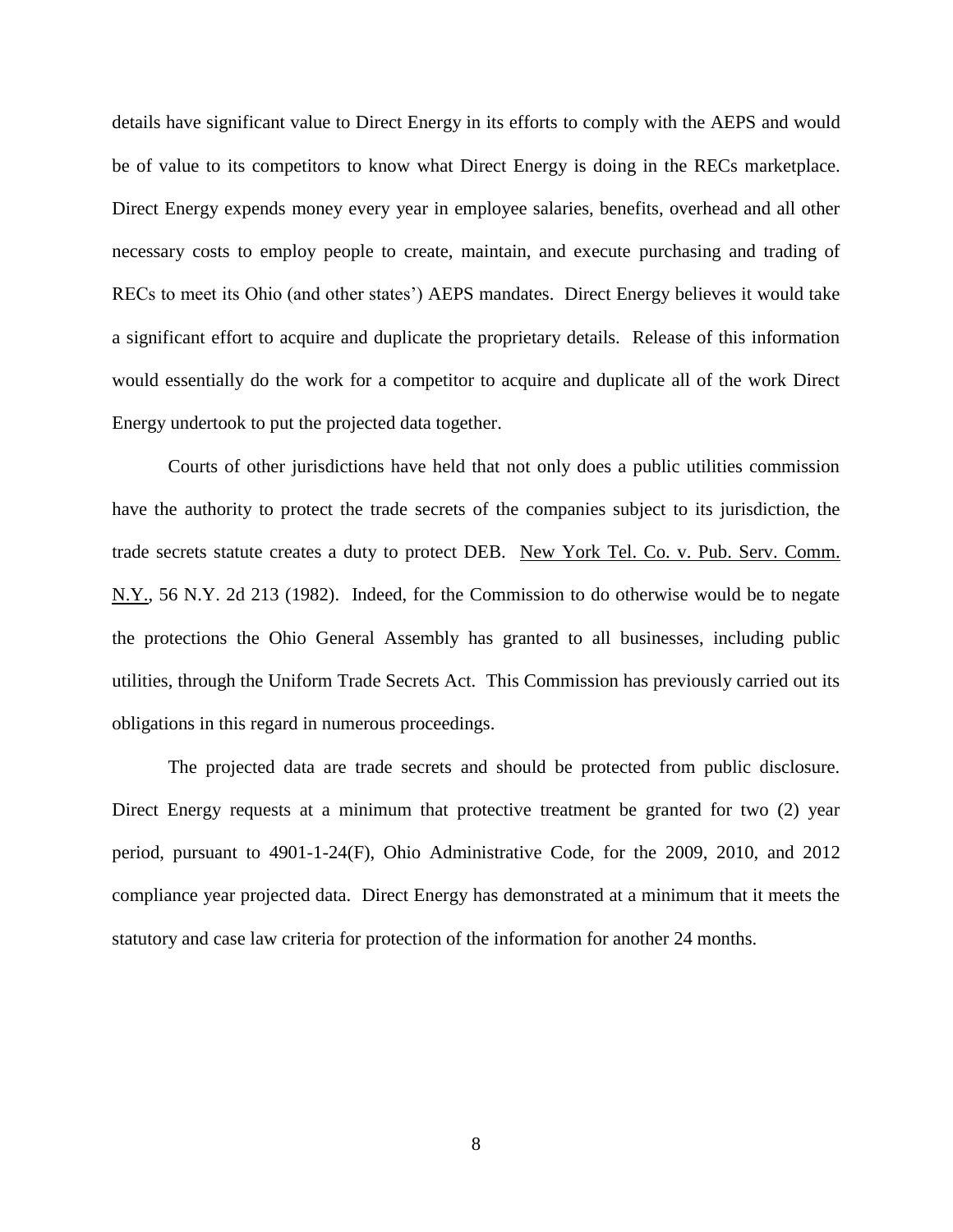details have significant value to Direct Energy in its efforts to comply with the AEPS and would be of value to its competitors to know what Direct Energy is doing in the RECs marketplace. Direct Energy expends money every year in employee salaries, benefits, overhead and all other necessary costs to employ people to create, maintain, and execute purchasing and trading of RECs to meet its Ohio (and other states') AEPS mandates. Direct Energy believes it would take a significant effort to acquire and duplicate the proprietary details. Release of this information would essentially do the work for a competitor to acquire and duplicate all of the work Direct Energy undertook to put the projected data together.

Courts of other jurisdictions have held that not only does a public utilities commission have the authority to protect the trade secrets of the companies subject to its jurisdiction, the trade secrets statute creates a duty to protect DEB. New York Tel. Co. v. Pub. Serv. Comm. N.Y., 56 N.Y. 2d 213 (1982). Indeed, for the Commission to do otherwise would be to negate the protections the Ohio General Assembly has granted to all businesses, including public utilities, through the Uniform Trade Secrets Act. This Commission has previously carried out its obligations in this regard in numerous proceedings.

The projected data are trade secrets and should be protected from public disclosure. Direct Energy requests at a minimum that protective treatment be granted for two (2) year period, pursuant to 4901-1-24(F), Ohio Administrative Code, for the 2009, 2010, and 2012 compliance year projected data. Direct Energy has demonstrated at a minimum that it meets the statutory and case law criteria for protection of the information for another 24 months.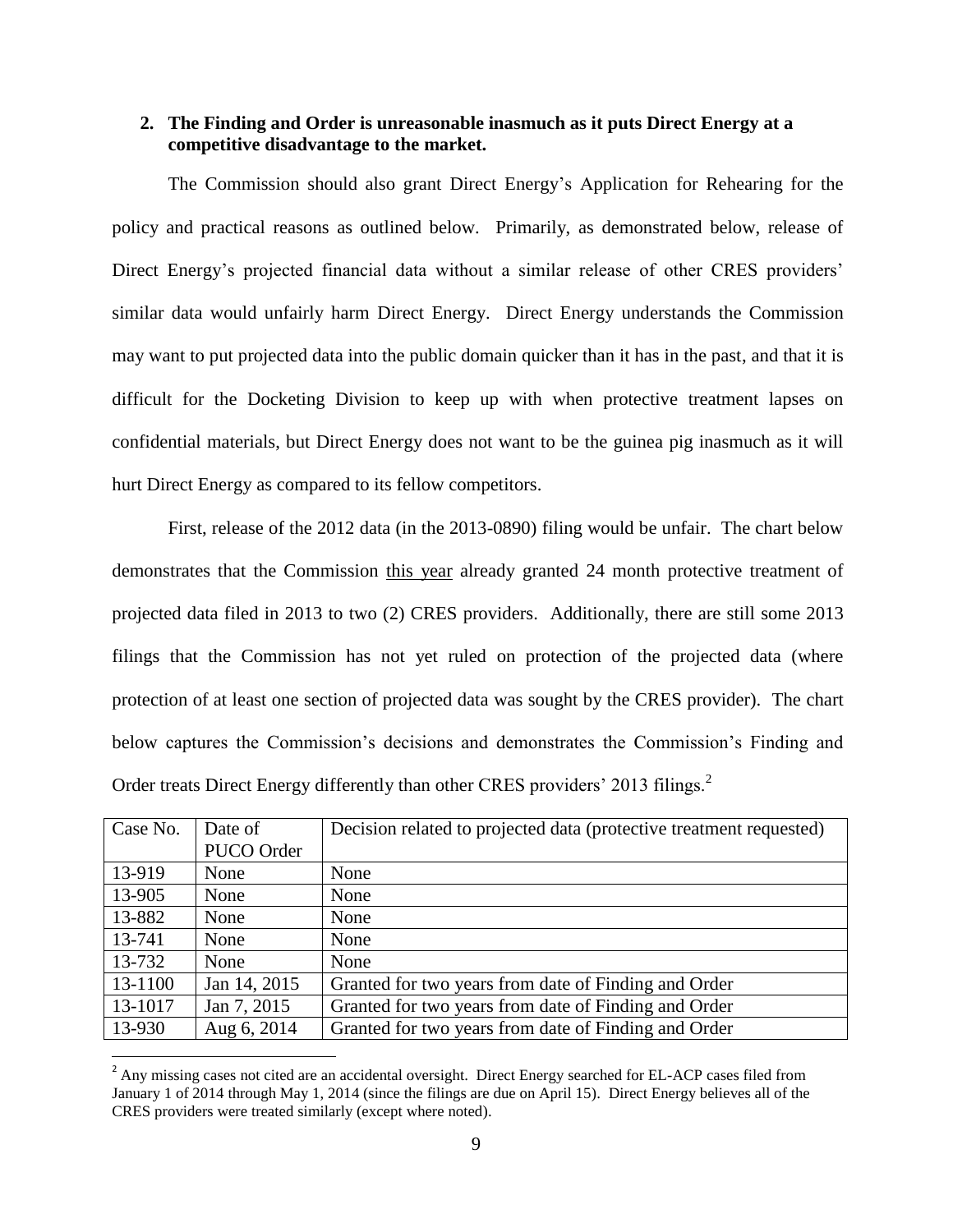### **2. The Finding and Order is unreasonable inasmuch as it puts Direct Energy at a competitive disadvantage to the market.**

The Commission should also grant Direct Energy's Application for Rehearing for the policy and practical reasons as outlined below. Primarily, as demonstrated below, release of Direct Energy's projected financial data without a similar release of other CRES providers' similar data would unfairly harm Direct Energy. Direct Energy understands the Commission may want to put projected data into the public domain quicker than it has in the past, and that it is difficult for the Docketing Division to keep up with when protective treatment lapses on confidential materials, but Direct Energy does not want to be the guinea pig inasmuch as it will hurt Direct Energy as compared to its fellow competitors.

First, release of the 2012 data (in the 2013-0890) filing would be unfair. The chart below demonstrates that the Commission this year already granted 24 month protective treatment of projected data filed in 2013 to two (2) CRES providers. Additionally, there are still some 2013 filings that the Commission has not yet ruled on protection of the projected data (where protection of at least one section of projected data was sought by the CRES provider). The chart below captures the Commission's decisions and demonstrates the Commission's Finding and Order treats Direct Energy differently than other CRES providers' 2013 filings.<sup>2</sup>

| Case No. | Date of      | Decision related to projected data (protective treatment requested) |
|----------|--------------|---------------------------------------------------------------------|
|          | PUCO Order   |                                                                     |
| 13-919   | None         | None                                                                |
| 13-905   | None         | None                                                                |
| 13-882   | None         | None                                                                |
| 13-741   | None         | None                                                                |
| 13-732   | None         | None                                                                |
| 13-1100  | Jan 14, 2015 | Granted for two years from date of Finding and Order                |
| 13-1017  | Jan 7, 2015  | Granted for two years from date of Finding and Order                |
| 13-930   | Aug 6, 2014  | Granted for two years from date of Finding and Order                |

<sup>&</sup>lt;sup>2</sup> Any missing cases not cited are an accidental oversight. Direct Energy searched for EL-ACP cases filed from January 1 of 2014 through May 1, 2014 (since the filings are due on April 15). Direct Energy believes all of the CRES providers were treated similarly (except where noted).

 $\overline{\phantom{a}}$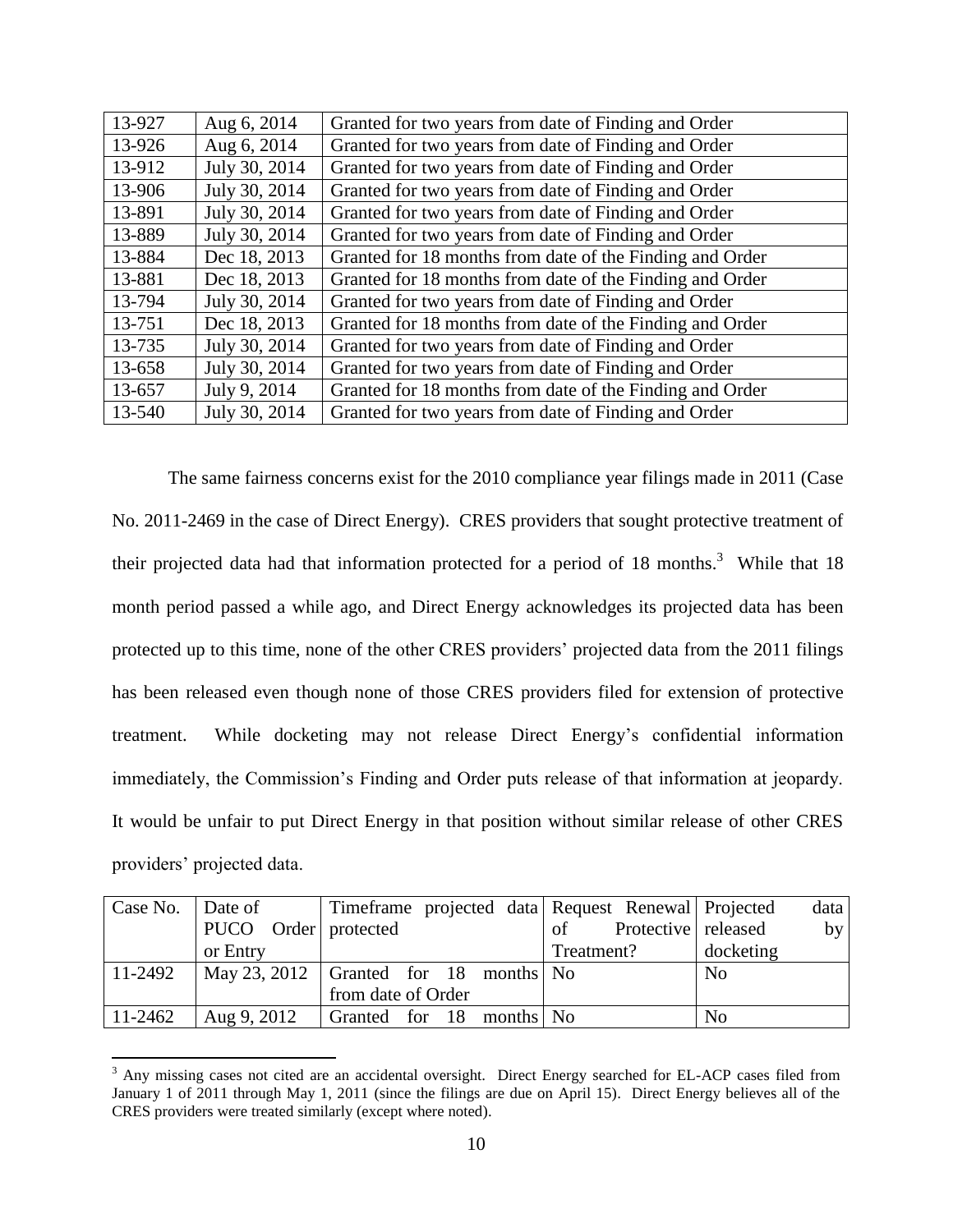| 13-927 | Aug 6, 2014   | Granted for two years from date of Finding and Order     |
|--------|---------------|----------------------------------------------------------|
| 13-926 | Aug 6, 2014   | Granted for two years from date of Finding and Order     |
| 13-912 | July 30, 2014 | Granted for two years from date of Finding and Order     |
| 13-906 | July 30, 2014 | Granted for two years from date of Finding and Order     |
| 13-891 | July 30, 2014 | Granted for two years from date of Finding and Order     |
| 13-889 | July 30, 2014 | Granted for two years from date of Finding and Order     |
| 13-884 | Dec 18, 2013  | Granted for 18 months from date of the Finding and Order |
| 13-881 | Dec 18, 2013  | Granted for 18 months from date of the Finding and Order |
| 13-794 | July 30, 2014 | Granted for two years from date of Finding and Order     |
| 13-751 | Dec 18, 2013  | Granted for 18 months from date of the Finding and Order |
| 13-735 | July 30, 2014 | Granted for two years from date of Finding and Order     |
| 13-658 | July 30, 2014 | Granted for two years from date of Finding and Order     |
| 13-657 | July 9, 2014  | Granted for 18 months from date of the Finding and Order |
| 13-540 | July 30, 2014 | Granted for two years from date of Finding and Order     |

The same fairness concerns exist for the 2010 compliance year filings made in 2011 (Case No. 2011-2469 in the case of Direct Energy). CRES providers that sought protective treatment of their projected data had that information protected for a period of 18 months.<sup>3</sup> While that 18 month period passed a while ago, and Direct Energy acknowledges its projected data has been protected up to this time, none of the other CRES providers' projected data from the 2011 filings has been released even though none of those CRES providers filed for extension of protective treatment. While docketing may not release Direct Energy's confidential information immediately, the Commission's Finding and Order puts release of that information at jeopardy. It would be unfair to put Direct Energy in that position without similar release of other CRES providers' projected data.

| Case No.   Date of |                      | Timeframe projected data Request Renewal Projected            |                           | data           |
|--------------------|----------------------|---------------------------------------------------------------|---------------------------|----------------|
|                    | PUCO Order protected |                                                               | Protective released<br>of | by             |
|                    | or Entry             |                                                               | Treatment?                | docketing      |
| 11-2492            |                      | $\vert$ May 23, 2012 $\vert$ Granted for 18 months $\vert$ No |                           | N <sub>o</sub> |
|                    |                      | from date of Order                                            |                           |                |
| 11-2462            | Aug 9, 2012          | Granted for 18 months No                                      |                           | N <sub>o</sub> |

 $\overline{\phantom{a}}$ <sup>3</sup> Any missing cases not cited are an accidental oversight. Direct Energy searched for EL-ACP cases filed from January 1 of 2011 through May 1, 2011 (since the filings are due on April 15). Direct Energy believes all of the CRES providers were treated similarly (except where noted).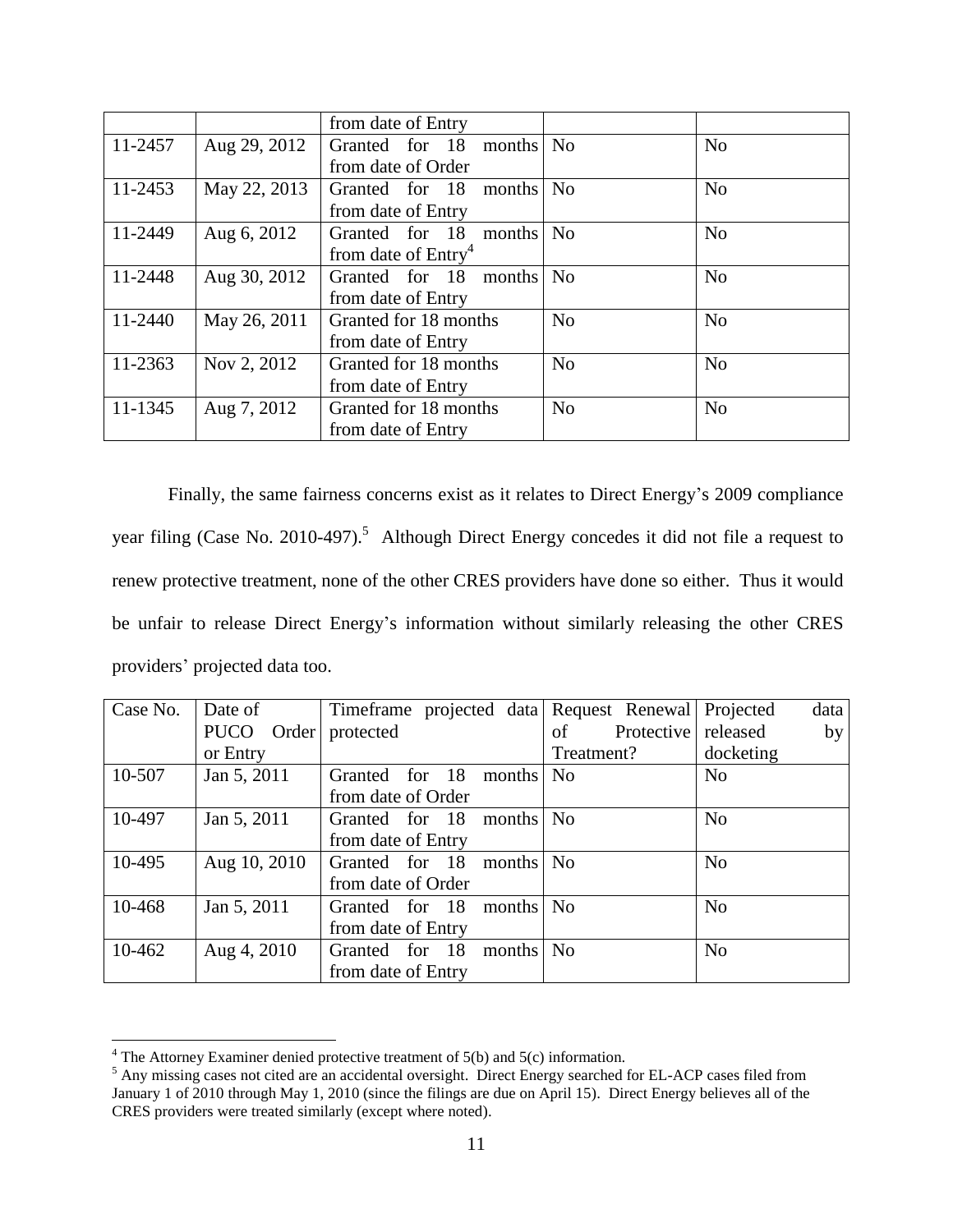|         |              | from date of Entry              |                |                |
|---------|--------------|---------------------------------|----------------|----------------|
| 11-2457 | Aug 29, 2012 | Granted for 18<br>months        | N <sub>0</sub> | N <sub>o</sub> |
|         |              | from date of Order              |                |                |
| 11-2453 | May 22, 2013 | Granted for 18<br>months        | N <sub>0</sub> | N <sub>o</sub> |
|         |              | from date of Entry              |                |                |
| 11-2449 | Aug 6, 2012  | Granted for 18<br>months        | N <sub>o</sub> | N <sub>o</sub> |
|         |              | from date of Entry <sup>4</sup> |                |                |
| 11-2448 | Aug 30, 2012 | Granted for 18<br>months        | N <sub>o</sub> | N <sub>o</sub> |
|         |              | from date of Entry              |                |                |
| 11-2440 | May 26, 2011 | Granted for 18 months           | N <sub>o</sub> | N <sub>o</sub> |
|         |              | from date of Entry              |                |                |
| 11-2363 | Nov 2, 2012  | Granted for 18 months           | N <sub>o</sub> | N <sub>o</sub> |
|         |              | from date of Entry              |                |                |
| 11-1345 | Aug 7, 2012  | Granted for 18 months           | N <sub>o</sub> | N <sub>o</sub> |
|         |              | from date of Entry              |                |                |

Finally, the same fairness concerns exist as it relates to Direct Energy's 2009 compliance year filing (Case No. 2010-497).<sup>5</sup> Although Direct Energy concedes it did not file a request to renew protective treatment, none of the other CRES providers have done so either. Thus it would be unfair to release Direct Energy's information without similarly releasing the other CRES providers' projected data too.

| Case No. | Date of              | Timeframe projected data | Request Renewal Projected | data           |
|----------|----------------------|--------------------------|---------------------------|----------------|
|          | <b>PUCO</b><br>Order | protected                | Protective released<br>οf | by             |
|          | or Entry             |                          | Treatment?                | docketing      |
| 10-507   | Jan 5, 2011          | Granted for 18<br>months | N <sub>o</sub>            | N <sub>o</sub> |
|          |                      | from date of Order       |                           |                |
| 10-497   | Jan 5, 2011          | Granted for 18<br>months | N <sub>o</sub>            | N <sub>o</sub> |
|          |                      | from date of Entry       |                           |                |
| 10-495   | Aug 10, 2010         | Granted for 18<br>months | N <sub>o</sub>            | N <sub>o</sub> |
|          |                      | from date of Order       |                           |                |
| 10-468   | Jan 5, 2011          | Granted for 18<br>months | N <sub>0</sub>            | N <sub>o</sub> |
|          |                      | from date of Entry       |                           |                |
| 10-462   | Aug 4, 2010          | Granted for 18<br>months | N <sub>0</sub>            | N <sub>o</sub> |
|          |                      | from date of Entry       |                           |                |

 $\overline{\phantom{a}}$ 

 $4$  The Attorney Examiner denied protective treatment of 5(b) and 5(c) information.

<sup>&</sup>lt;sup>5</sup> Any missing cases not cited are an accidental oversight. Direct Energy searched for EL-ACP cases filed from January 1 of 2010 through May 1, 2010 (since the filings are due on April 15). Direct Energy believes all of the CRES providers were treated similarly (except where noted).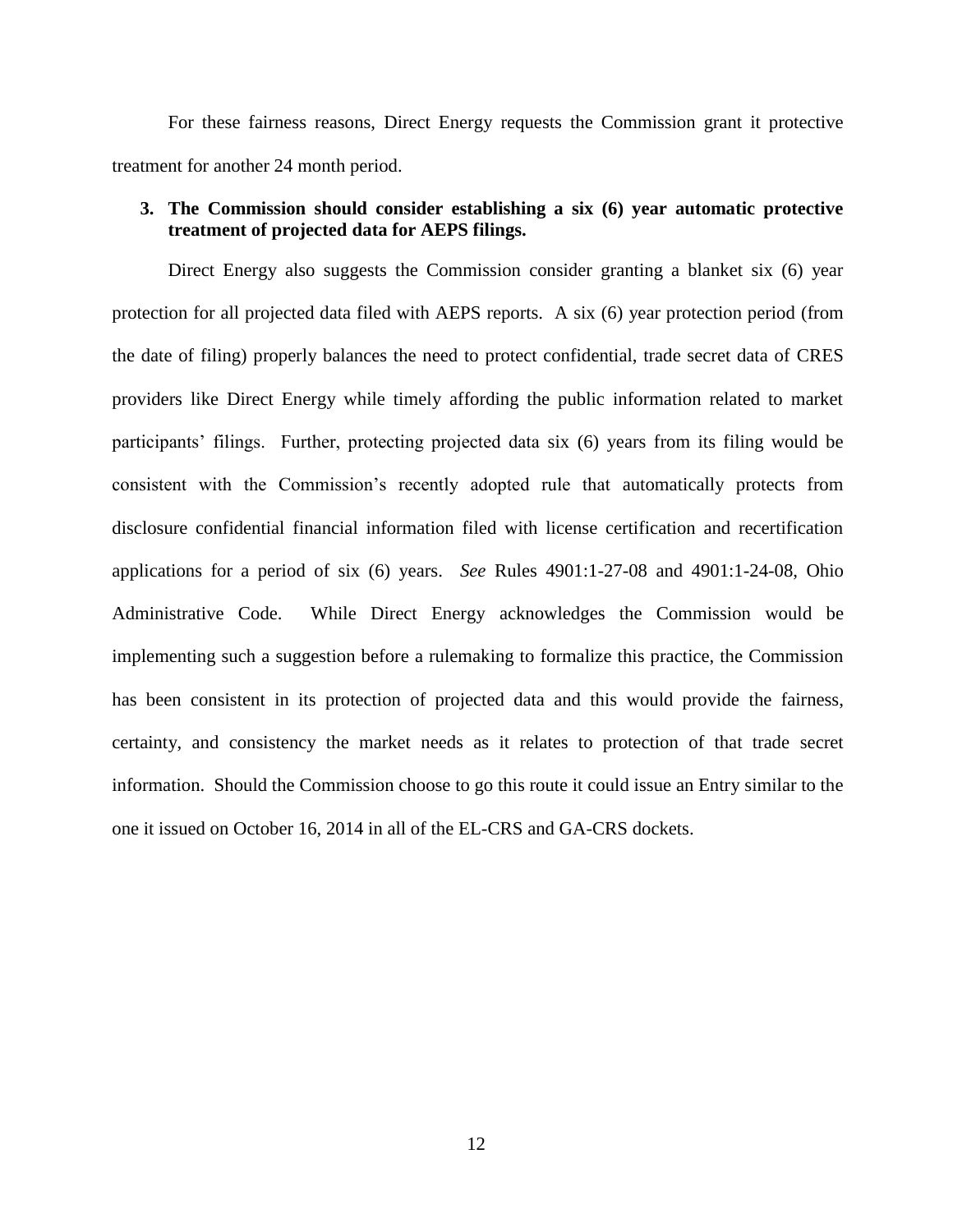For these fairness reasons, Direct Energy requests the Commission grant it protective treatment for another 24 month period.

## **3. The Commission should consider establishing a six (6) year automatic protective treatment of projected data for AEPS filings.**

Direct Energy also suggests the Commission consider granting a blanket six (6) year protection for all projected data filed with AEPS reports. A six (6) year protection period (from the date of filing) properly balances the need to protect confidential, trade secret data of CRES providers like Direct Energy while timely affording the public information related to market participants' filings. Further, protecting projected data six (6) years from its filing would be consistent with the Commission's recently adopted rule that automatically protects from disclosure confidential financial information filed with license certification and recertification applications for a period of six (6) years. *See* Rules 4901:1-27-08 and 4901:1-24-08, Ohio Administrative Code. While Direct Energy acknowledges the Commission would be implementing such a suggestion before a rulemaking to formalize this practice, the Commission has been consistent in its protection of projected data and this would provide the fairness, certainty, and consistency the market needs as it relates to protection of that trade secret information. Should the Commission choose to go this route it could issue an Entry similar to the one it issued on October 16, 2014 in all of the EL-CRS and GA-CRS dockets.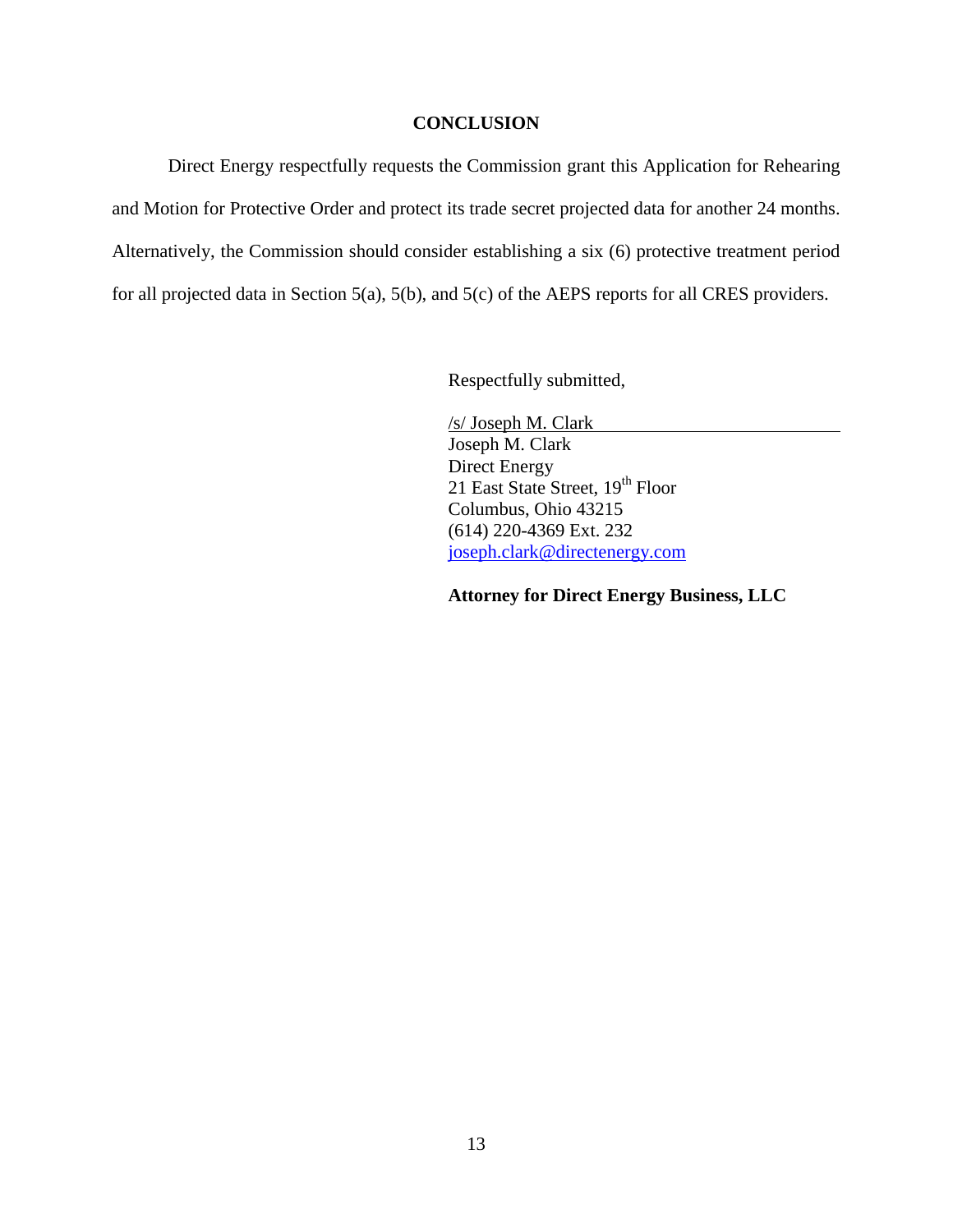#### **CONCLUSION**

Direct Energy respectfully requests the Commission grant this Application for Rehearing and Motion for Protective Order and protect its trade secret projected data for another 24 months. Alternatively, the Commission should consider establishing a six (6) protective treatment period for all projected data in Section 5(a), 5(b), and 5(c) of the AEPS reports for all CRES providers.

Respectfully submitted,

/s/ Joseph M. Clark Joseph M. Clark Direct Energy 21 East State Street, 19<sup>th</sup> Floor Columbus, Ohio 43215 (614) 220-4369 Ext. 232 [joseph.clark@directenergy.com](mailto:joseph.clark@directenergy.com)

**Attorney for Direct Energy Business, LLC**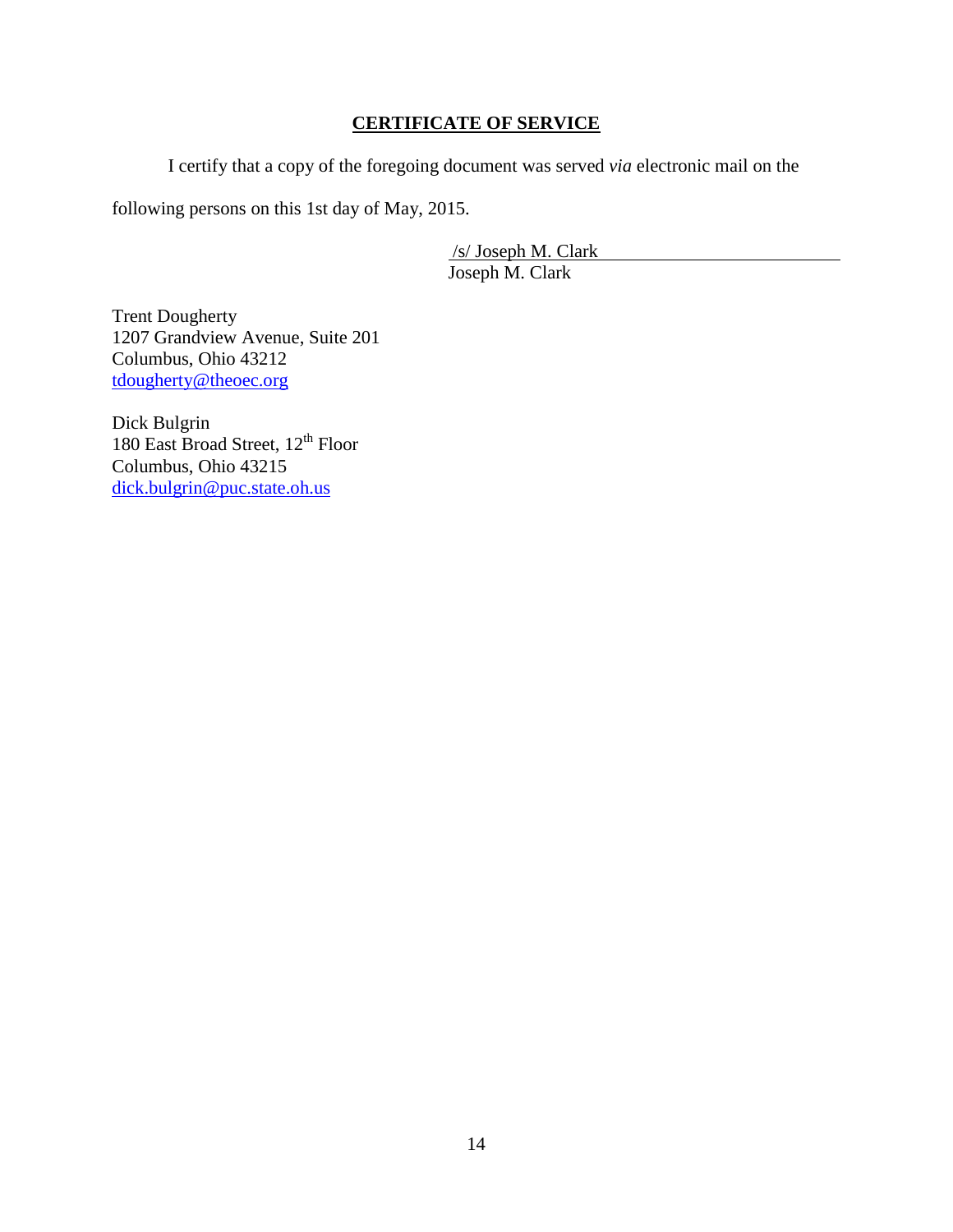# **CERTIFICATE OF SERVICE**

I certify that a copy of the foregoing document was served *via* electronic mail on the

following persons on this 1st day of May, 2015.

/s/ Joseph M. Clark Joseph M. Clark

Trent Dougherty 1207 Grandview Avenue, Suite 201 Columbus, Ohio 43212 [tdougherty@theoec.org](mailto:tdougherty@theoec.org)

Dick Bulgrin 180 East Broad Street, 12<sup>th</sup> Floor Columbus, Ohio 43215 [dick.bulgrin@puc.state.oh.us](mailto:dick.bulgrin@puc.state.oh.us)